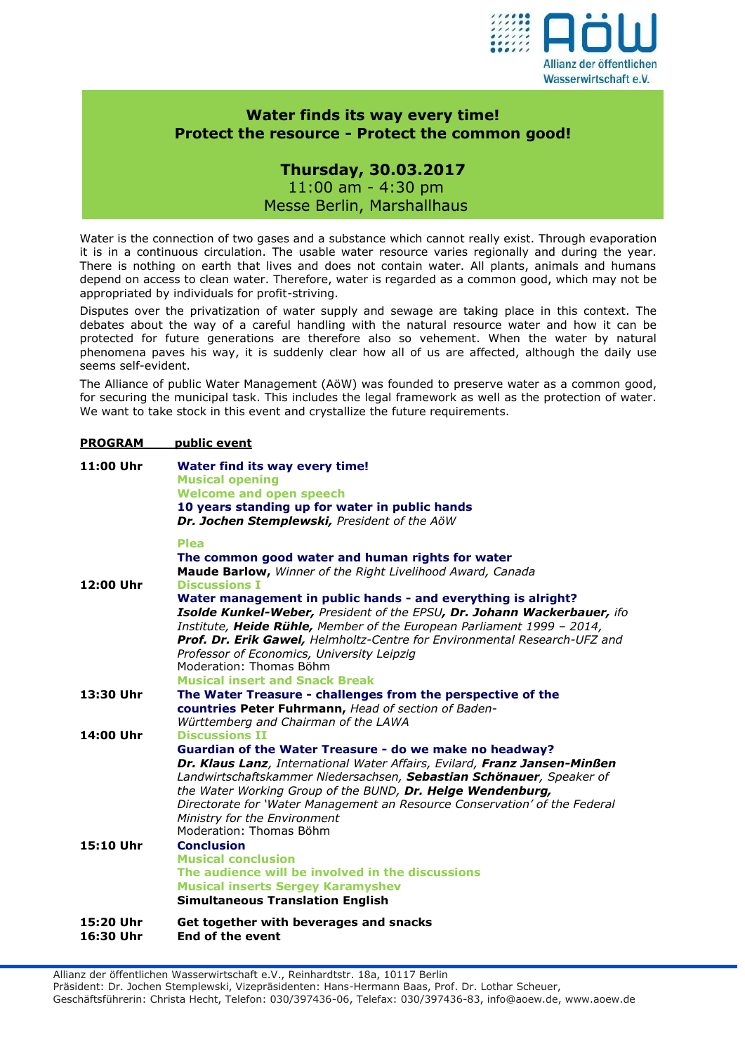

## **Water finds its way every time! Protect the resource - Protect the common good!**

## **Thursday, 30.03.2017** 11:00 am - 4:30 pm Messe Berlin, Marshallhaus

Water is the connection of two gases and a substance which cannot really exist. Through evaporation it is in a continuous circulation. The usable water resource varies regionally and during the year. There is nothing on earth that lives and does not contain water. All plants, animals and humans depend on access to clean water. Therefore, water is regarded as a common good, which may not be appropriated by individuals for profit-striving.

Disputes over the privatization of water supply and sewage are taking place in this context. The debates about the way of a careful handling with the natural resource water and how it can be protected for future generations are therefore also so vehement. When the water by natural phenomena paves his way, it is suddenly clear how all of us are affected, although the daily use seems self-evident.

The Alliance of public Water Management (AöW) was founded to preserve water as a common good, for securing the municipal task. This includes the legal framework as well as the protection of water. We want to take stock in this event and crystallize the future requirements.

## **PROGRAM public event**

| 11:00 Uhr              | Water find its way every time!<br><b>Musical opening</b><br><b>Welcome and open speech</b><br>10 years standing up for water in public hands<br>Dr. Jochen Stemplewski, President of the AöW                                                                                                                                                                                                                                                 |
|------------------------|----------------------------------------------------------------------------------------------------------------------------------------------------------------------------------------------------------------------------------------------------------------------------------------------------------------------------------------------------------------------------------------------------------------------------------------------|
| 12:00 Uhr              | <b>Plea</b><br>The common good water and human rights for water<br>Maude Barlow, Winner of the Right Livelihood Award, Canada<br><b>Discussions I</b>                                                                                                                                                                                                                                                                                        |
|                        | Water management in public hands - and everything is alright?<br>Isolde Kunkel-Weber, President of the EPSU, Dr. Johann Wackerbauer, ifo<br>Institute, Heide Rühle, Member of the European Parliament 1999 - 2014,<br>Prof. Dr. Erik Gawel, Helmholtz-Centre for Environmental Research-UFZ and<br>Professor of Economics, University Leipzig<br>Moderation: Thomas Böhm<br><b>Musical insert and Snack Break</b>                            |
| 13:30 Uhr              | The Water Treasure - challenges from the perspective of the<br>countries Peter Fuhrmann, Head of section of Baden-<br>Württemberg and Chairman of the LAWA                                                                                                                                                                                                                                                                                   |
| 14:00 Uhr              | <b>Discussions II</b><br>Guardian of the Water Treasure - do we make no headway?<br>Dr. Klaus Lanz, International Water Affairs, Evilard, Franz Jansen-Minßen<br>Landwirtschaftskammer Niedersachsen, Sebastian Schönauer, Speaker of<br>the Water Working Group of the BUND, Dr. Helge Wendenburg,<br>Directorate for 'Water Management an Resource Conservation' of the Federal<br>Ministry for the Environment<br>Moderation: Thomas Böhm |
| 15:10 Uhr              | <b>Conclusion</b><br><b>Musical conclusion</b><br>The audience will be involved in the discussions<br><b>Musical inserts Sergey Karamyshev</b><br><b>Simultaneous Translation English</b>                                                                                                                                                                                                                                                    |
| 15:20 Uhr<br>16:30 Uhr | Get together with beverages and snacks<br><b>End of the event</b>                                                                                                                                                                                                                                                                                                                                                                            |